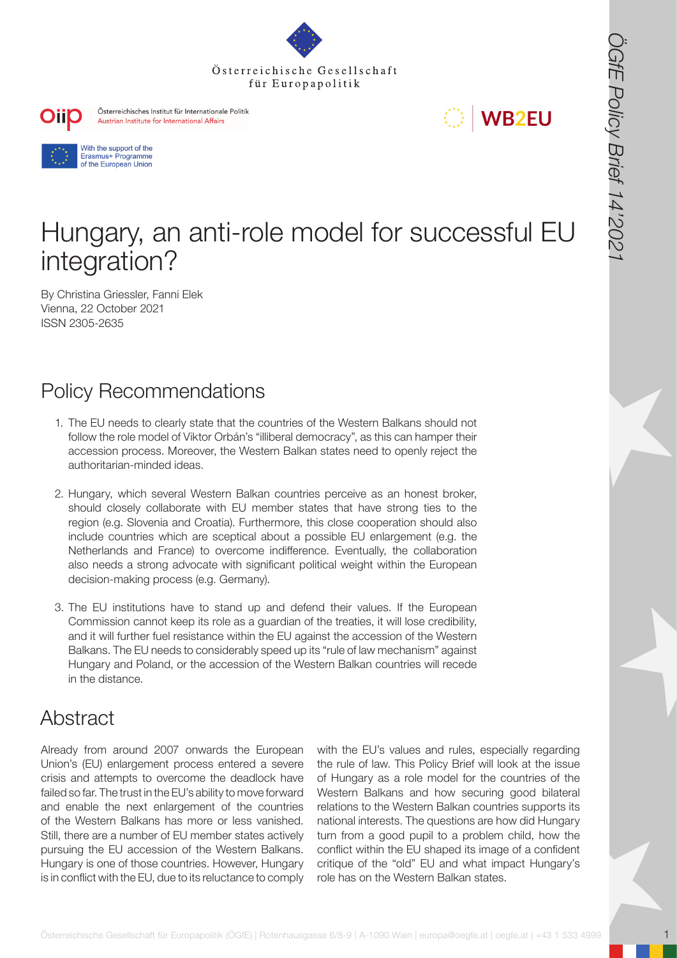





# Hungary, an anti-role model for successful EU integration?

By Christina Griessler, Fanni Elek Vienna, 22 October 2021 ISSN 2305-2635

# Policy Recommendations

- 1. The EU needs to clearly state that the countries of the Western Balkans should not follow the role model of Viktor Orbán's "illiberal democracy", as this can hamper their accession process. Moreover, the Western Balkan states need to openly reject the authoritarian-minded ideas.
- **OSTERRESS AREA CONTROLLED CONTROLLED CONTROLLED CONTROLLED CONTROLLED CONTROLLED CONTROLLED CONTROLLED CONTROLLED CONTROLLED CONTROLLED CONTROLLED CONTROLLED CONTROLLED CONTROLLED CONTROLLED CONTROLLED CONTROLLED CONTROLL** 2. Hungary, which several Western Balkan countries perceive as an honest broker, should closely collaborate with EU member states that have strong ties to the region (e.g. Slovenia and Croatia). Furthermore, this close cooperation should also include countries which are sceptical about a possible EU enlargement (e.g. the Netherlands and France) to overcome indifference. Eventually, the collaboration also needs a strong advocate with significant political weight within the European decision-making process (e.g. Germany).
	- 3. The EU institutions have to stand up and defend their values. If the European Commission cannot keep its role as a guardian of the treaties, it will lose credibility, and it will further fuel resistance within the EU against the accession of the Western Balkans. The EU needs to considerably speed up its "rule of law mechanism" against Hungary and Poland, or the accession of the Western Balkan countries will recede in the distance.

## **Abstract**

Already from around 2007 onwards the European Union's (EU) enlargement process entered a severe crisis and attempts to overcome the deadlock have failed so far. The trust in the EU's ability to move forward and enable the next enlargement of the countries of the Western Balkans has more or less vanished. Still, there are a number of EU member states actively pursuing the EU accession of the Western Balkans. Hungary is one of those countries. However, Hungary is in conflict with the EU, due to its reluctance to comply

with the EU's values and rules, especially regarding the rule of law. This Policy Brief will look at the issue of Hungary as a role model for the countries of the Western Balkans and how securing good bilateral relations to the Western Balkan countries supports its national interests. The questions are how did Hungary turn from a good pupil to a problem child, how the conflict within the EU shaped its image of a confident critique of the "old" EU and what impact Hungary's role has on the Western Balkan states.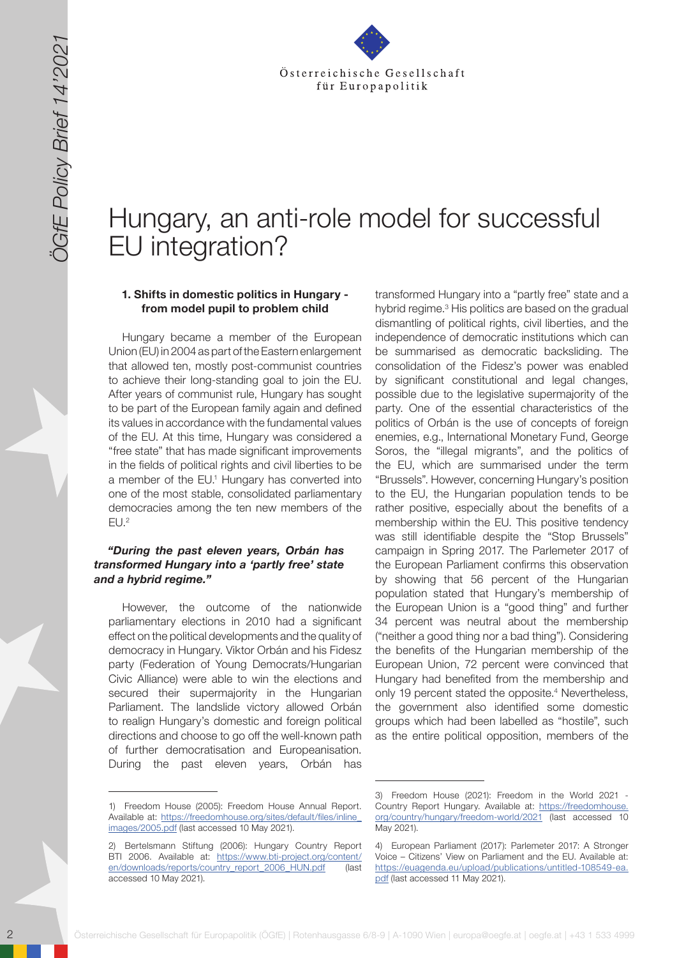

# Hungary, an anti-role model for successful EU integration?

#### **1. Shifts in domestic politics in Hungary from model pupil to problem child**

Hungary became a member of the European Union (EU) in 2004 as part of the Eastern enlargement that allowed ten, mostly post-communist countries to achieve their long-standing goal to join the EU. After years of communist rule, Hungary has sought to be part of the European family again and defined its values in accordance with the fundamental values of the EU. At this time, Hungary was considered a "free state" that has made significant improvements in the fields of political rights and civil liberties to be a member of the EU.<sup>1</sup> Hungary has converted into one of the most stable, consolidated parliamentary democracies among the ten new members of the  $EU.<sup>2</sup>$ 

#### *"During the past eleven years, Orbán has transformed Hungary into a 'partly free' state and a hybrid regime."*

However, the outcome of the nationwide parliamentary elections in 2010 had a significant effect on the political developments and the quality of democracy in Hungary. Viktor Orbán and his Fidesz party (Federation of Young Democrats/Hungarian Civic Alliance) were able to win the elections and secured their supermajority in the Hungarian Parliament. The landslide victory allowed Orbán to realign Hungary's domestic and foreign political directions and choose to go off the well-known path of further democratisation and Europeanisation. During the past eleven years, Orbán has

2 Solid Cesells Channel Cesellschaft für Europapolitik (ÖGfe) | Rote Booksellschaft für Europapolitik (ÖGfe) | Rote Booksellschaft für Europapolitik (ÖGfe) | Rote Booksellschaft für Europapolitik (ÖGfe) | Rote Booksellscha transformed Hungary into a "partly free" state and a hybrid regime.<sup>3</sup> His politics are based on the gradual dismantling of political rights, civil liberties, and the independence of democratic institutions which can be summarised as democratic backsliding. The consolidation of the Fidesz's power was enabled by significant constitutional and legal changes, possible due to the legislative supermajority of the party. One of the essential characteristics of the politics of Orbán is the use of concepts of foreign enemies, e.g., International Monetary Fund, George Soros, the "illegal migrants", and the politics of the EU, which are summarised under the term "Brussels". However, concerning Hungary's position to the EU, the Hungarian population tends to be rather positive, especially about the benefits of a membership within the EU. This positive tendency was still identifiable despite the "Stop Brussels" campaign in Spring 2017. The Parlemeter 2017 of the European Parliament confirms this observation by showing that 56 percent of the Hungarian population stated that Hungary's membership of the European Union is a "good thing" and further 34 percent was neutral about the membership ("neither a good thing nor a bad thing"). Considering the benefits of the Hungarian membership of the European Union, 72 percent were convinced that Hungary had benefited from the membership and only 19 percent stated the opposite.<sup>4</sup> Nevertheless, the government also identified some domestic groups which had been labelled as "hostile", such as the entire political opposition, members of the

<sup>1)</sup> Freedom House (2005): Freedom House Annual Report. Available at: [https://freedomhouse.org/sites/default/files/inline\\_](https://freedomhouse.org/sites/default/files/inline_images/2005.pdf) [images/2005.pdf](https://freedomhouse.org/sites/default/files/inline_images/2005.pdf) (last accessed 10 May 2021).

<sup>2)</sup> Bertelsmann Stiftung (2006): Hungary Country Report BTI 2006. Available at: [https://www.bti-project.org/content/](https://www.bti-project.org/content/en/downloads/reports/country_report_2006_HUN.pdf) [en/downloads/reports/country\\_report\\_2006\\_HUN.pdf](https://www.bti-project.org/content/en/downloads/reports/country_report_2006_HUN.pdf) (last accessed 10 May 2021).

<sup>3)</sup> Freedom House (2021): Freedom in the World 2021 - Country Report Hungary. Available at: [https://freedomhouse.](https://freedomhouse.org/country/hungary/freedom-world/2021) [org/country/hungary/freedom-world/2021](https://freedomhouse.org/country/hungary/freedom-world/2021) (last accessed 10 May 2021).

<sup>4)</sup> European Parliament (2017): Parlemeter 2017: A Stronger Voice – Citizens' View on Parliament and the EU. Available at: [https://euagenda.eu/upload/publications/untitled-108549-ea.](https://euagenda.eu/upload/publications/untitled-108549-ea.pdf) [pdf](https://euagenda.eu/upload/publications/untitled-108549-ea.pdf) (last accessed 11 May 2021).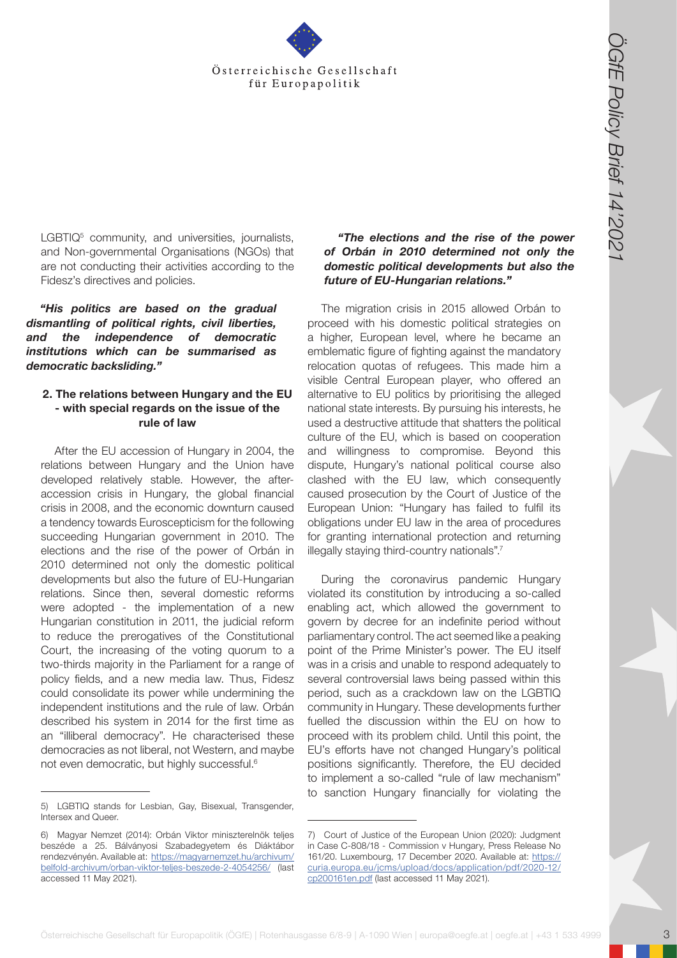

LGBTIQ<sup>5</sup> community, and universities, journalists, and Non-governmental Organisations (NGOs) that are not conducting their activities according to the Fidesz's directives and policies.

*"His politics are based on the gradual dismantling of political rights, civil liberties, and the independence of democratic institutions which can be summarised as democratic backsliding."* 

#### **2. The relations between Hungary and the EU - with special regards on the issue of the rule of law**

**Osterreichische Gesellschaft für Europapolitik (Cff Europapolitik (Cff Europapolitik (Cff Europapolitik (Cff Europapolitik (Cff Europapolitik (Cff Europapolitik Cff Europapolitik (Cff Europapolitik Cff Europapolitik (Cff** After the EU accession of Hungary in 2004, the relations between Hungary and the Union have developed relatively stable. However, the afteraccession crisis in Hungary, the global financial crisis in 2008, and the economic downturn caused a tendency towards Euroscepticism for the following succeeding Hungarian government in 2010. The elections and the rise of the power of Orbán in 2010 determined not only the domestic political developments but also the future of EU-Hungarian relations. Since then, several domestic reforms were adopted - the implementation of a new Hungarian constitution in 2011, the judicial reform to reduce the prerogatives of the Constitutional Court, the increasing of the voting quorum to a two-thirds majority in the Parliament for a range of policy fields, and a new media law. Thus, Fidesz could consolidate its power while undermining the independent institutions and the rule of law. Orbán described his system in 2014 for the first time as an "illiberal democracy". He characterised these democracies as not liberal, not Western, and maybe not even democratic, but highly successful.6

#### *"The elections and the rise of the power of Orbán in 2010 determined not only the domestic political developments but also the future of EU-Hungarian relations."*

The migration crisis in 2015 allowed Orbán to proceed with his domestic political strategies on a higher, European level, where he became an emblematic figure of fighting against the mandatory relocation quotas of refugees. This made him a visible Central European player, who offered an alternative to EU politics by prioritising the alleged national state interests. By pursuing his interests, he used a destructive attitude that shatters the political culture of the EU, which is based on cooperation and willingness to compromise. Beyond this dispute, Hungary's national political course also clashed with the EU law, which consequently caused prosecution by the Court of Justice of the European Union: "Hungary has failed to fulfil its obligations under EU law in the area of procedures for granting international protection and returning illegally staying third-country nationals".<sup>7</sup>

During the coronavirus pandemic Hungary violated its constitution by introducing a so-called enabling act, which allowed the government to govern by decree for an indefinite period without parliamentary control. The act seemed like a peaking point of the Prime Minister's power. The EU itself was in a crisis and unable to respond adequately to several controversial laws being passed within this period, such as a crackdown law on the LGBTIQ community in Hungary. These developments further fuelled the discussion within the EU on how to proceed with its problem child. Until this point, the EU's efforts have not changed Hungary's political positions significantly. Therefore, the EU decided to implement a so-called "rule of law mechanism" to sanction Hungary financially for violating the

<sup>5)</sup> LGBTIQ stands for Lesbian, Gay, Bisexual, Transgender, Intersex and Queer.

<sup>6)</sup> Magyar Nemzet (2014): Orbán Viktor miniszterelnök teljes beszéde a 25. Bálványosi Szabadegyetem és Diáktábor rendezvényén. Available at: [https://magyarnemzet.hu/archivum/](https://magyarnemzet.hu/archivum/belfold-archivum/orban-viktor-teljes-beszede-2-4054256/) [belfold-archivum/orban-viktor-teljes-beszede-2-4054256/](https://magyarnemzet.hu/archivum/belfold-archivum/orban-viktor-teljes-beszede-2-4054256/) (last accessed 11 May 2021).

<sup>7)</sup> Court of Justice of the European Union (2020): Judgment in Case C-808/18 - Commission v Hungary, Press Release No 161/20. Luxembourg, 17 December 2020. Available at: [https://](https://curia.europa.eu/jcms/upload/docs/application/pdf/2020-12/cp200161en.pdf) [curia.europa.eu/jcms/upload/docs/application/pdf/2020-12/](https://curia.europa.eu/jcms/upload/docs/application/pdf/2020-12/cp200161en.pdf) [cp200161en.pdf](https://curia.europa.eu/jcms/upload/docs/application/pdf/2020-12/cp200161en.pdf) (last accessed 11 May 2021).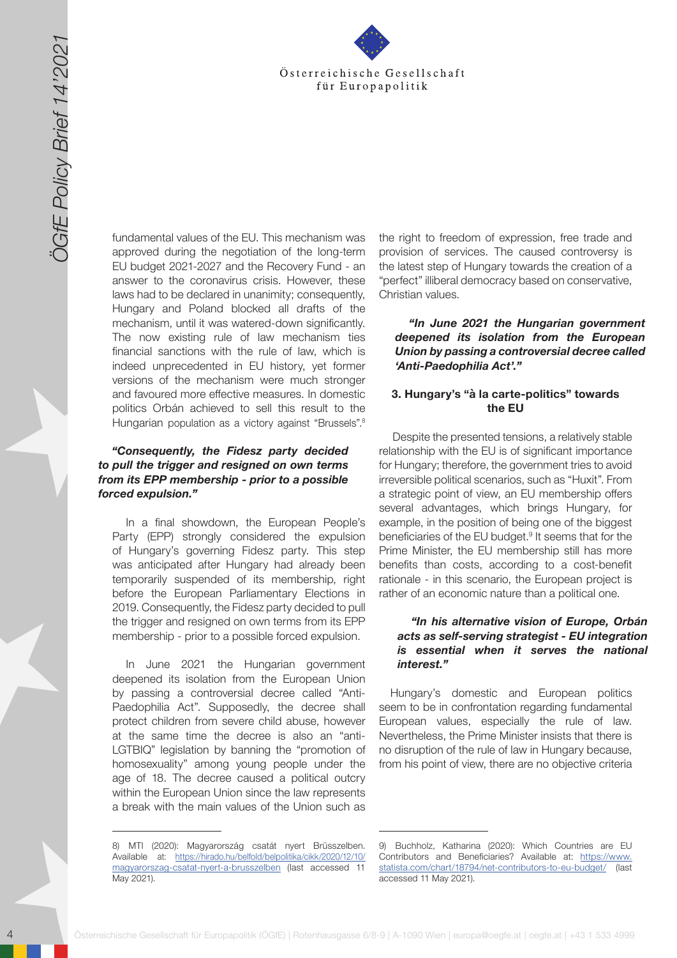

4 Osterreichische Gesellschaft für Europapolitik (ÖGfe) | Rotenhausgasse 6/8-9 | A-1090 Wien | A-1090 Wien | A-1090 Wien | A-1090 Wien | A-1090 Wien | A-1090 Wien | A-1090 Wien | A-1090 Wien | A-1090 Wien | A-1090 Wien | fundamental values of the EU. This mechanism was approved during the negotiation of the long-term EU budget 2021-2027 and the Recovery Fund - an answer to the coronavirus crisis. However, these laws had to be declared in unanimity; consequently, Hungary and Poland blocked all drafts of the mechanism, until it was watered-down significantly. The now existing rule of law mechanism ties financial sanctions with the rule of law, which is indeed unprecedented in EU history, yet former versions of the mechanism were much stronger and favoured more effective measures. In domestic politics Orbán achieved to sell this result to the Hungarian population as a victory against "Brussels".<sup>8</sup>

## *"Consequently, the Fidesz party decided to pull the trigger and resigned on own terms from its EPP membership - prior to a possible forced expulsion."*

In a final showdown, the European People's Party (EPP) strongly considered the expulsion of Hungary's governing Fidesz party. This step was anticipated after Hungary had already been temporarily suspended of its membership, right before the European Parliamentary Elections in 2019. Consequently, the Fidesz party decided to pull the trigger and resigned on own terms from its EPP membership - prior to a possible forced expulsion.

In June 2021 the Hungarian government deepened its isolation from the European Union by passing a controversial decree called "Anti-Paedophilia Act". Supposedly, the decree shall protect children from severe child abuse, however at the same time the decree is also an "anti-LGTBIQ" legislation by banning the "promotion of homosexuality" among young people under the age of 18. The decree caused a political outcry within the European Union since the law represents a break with the main values of the Union such as

the right to freedom of expression, free trade and provision of services. The caused controversy is the latest step of Hungary towards the creation of a "perfect" illiberal democracy based on conservative, Christian values.

*"In June 2021 the Hungarian government deepened its isolation from the European Union by passing a controversial decree called 'Anti-Paedophilia Act'."*

#### **3. Hungary's "à la carte-politics" towards the EU**

Despite the presented tensions, a relatively stable relationship with the EU is of significant importance for Hungary; therefore, the government tries to avoid irreversible political scenarios, such as "Huxit". From a strategic point of view, an EU membership offers several advantages, which brings Hungary, for example, in the position of being one of the biggest beneficiaries of the EU budget.<sup>9</sup> It seems that for the Prime Minister, the EU membership still has more benefits than costs, according to a cost-benefit rationale - in this scenario, the European project is rather of an economic nature than a political one.

## *"In his alternative vision of Europe, Orbán acts as self-serving strategist - EU integration is essential when it serves the national interest."*

Hungary's domestic and European politics seem to be in confrontation regarding fundamental European values, especially the rule of law. Nevertheless, the Prime Minister insists that there is no disruption of the rule of law in Hungary because, from his point of view, there are no objective criteria

<sup>8)</sup> MTI (2020): Magyarország csatát nyert Brüsszelben. Available at: [https://hirado.hu/belfold/belpolitika/cikk/2020/12/10/](https://hirado.hu/belfold/belpolitika/cikk/2020/12/10/magyarorszag-csatat-nyert-a-brusszelben) [magyarorszag-csatat-nyert-a-brusszelben](https://hirado.hu/belfold/belpolitika/cikk/2020/12/10/magyarorszag-csatat-nyert-a-brusszelben) (last accessed 11 May 2021).

<sup>9)</sup> Buchholz, Katharina (2020): Which Countries are EU Contributors and Beneficiaries? Available at: [https://www.](https://www.statista.com/chart/18794/net-contributors-to-eu-budget/) [statista.com/chart/18794/net-contributors-to-eu-budget/](https://www.statista.com/chart/18794/net-contributors-to-eu-budget/) (last accessed 11 May 2021).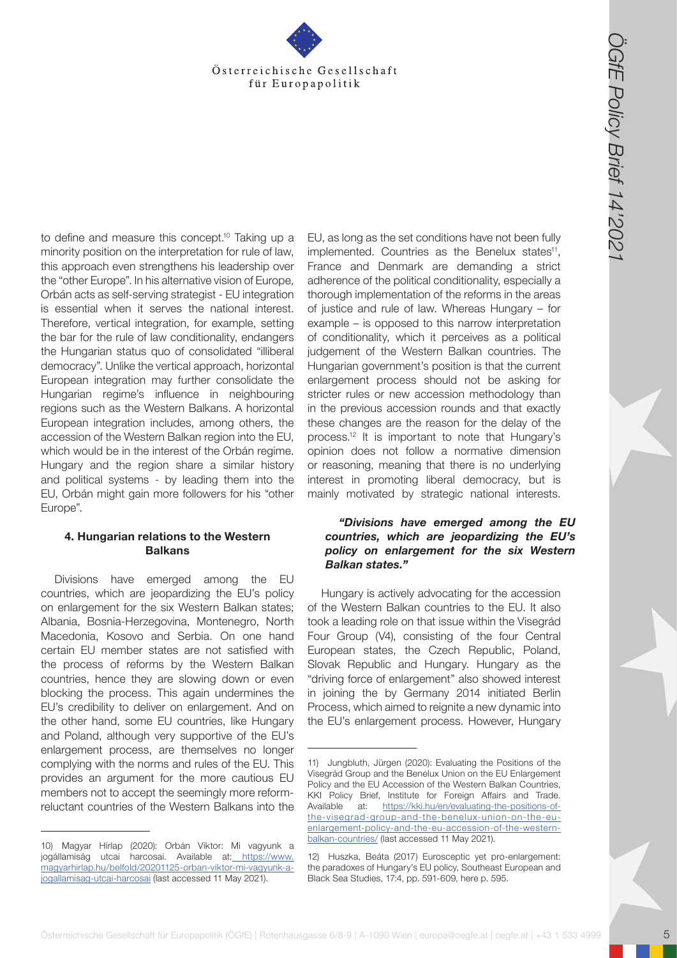

**Context is the Gesellschaft for the Gesellschaft for the Gesellschaft for the Gesellschaft for the Gesellschaft for the Gesellschaft for the Gesellschaft for the Gesellschaft for the Gesellschaft for the Gesellschaft for** to define and measure this concept.<sup>10</sup> Taking up a minority position on the interpretation for rule of law, this approach even strengthens his leadership over the "other Europe". In his alternative vision of Europe, Orbán acts as self-serving strategist - EU integration is essential when it serves the national interest. Therefore, vertical integration, for example, setting the bar for the rule of law conditionality, endangers the Hungarian status quo of consolidated "illiberal democracy". Unlike the vertical approach, horizontal European integration may further consolidate the Hungarian regime's influence in neighbouring regions such as the Western Balkans. A horizontal European integration includes, among others, the accession of the Western Balkan region into the EU, which would be in the interest of the Orbán regime. Hungary and the region share a similar history and political systems - by leading them into the EU, Orbán might gain more followers for his "other Europe".

## **4. Hungarian relations to the Western Balkans**

Divisions have emerged among the EU countries, which are jeopardizing the EU's policy on enlargement for the six Western Balkan states; Albania, Bosnia-Herzegovina, Montenegro, North Macedonia, Kosovo and Serbia. On one hand certain EU member states are not satisfied with the process of reforms by the Western Balkan countries, hence they are slowing down or even blocking the process. This again undermines the EU's credibility to deliver on enlargement. And on the other hand, some EU countries, like Hungary and Poland, although very supportive of the EU's enlargement process, are themselves no longer complying with the norms and rules of the EU. This provides an argument for the more cautious EU members not to accept the seemingly more reformreluctant countries of the Western Balkans into the EU, as long as the set conditions have not been fully implemented. Countries as the Benelux states<sup>11</sup>, France and Denmark are demanding a strict adherence of the political conditionality, especially a thorough implementation of the reforms in the areas of justice and rule of law. Whereas Hungary – for example – is opposed to this narrow interpretation of conditionality, which it perceives as a political judgement of the Western Balkan countries. The Hungarian government's position is that the current enlargement process should not be asking for stricter rules or new accession methodology than in the previous accession rounds and that exactly these changes are the reason for the delay of the process.12 It is important to note that Hungary's opinion does not follow a normative dimension or reasoning, meaning that there is no underlying interest in promoting liberal democracy, but is mainly motivated by strategic national interests.

#### *"Divisions have emerged among the EU countries, which are jeopardizing the EU's policy on enlargement for the six Western Balkan states."*

Hungary is actively advocating for the accession of the Western Balkan countries to the EU. It also took a leading role on that issue within the Visegrád Four Group (V4), consisting of the four Central European states, the Czech Republic, Poland, Slovak Republic and Hungary. Hungary as the "driving force of enlargement" also showed interest in joining the by Germany 2014 initiated Berlin Process, which aimed to reignite a new dynamic into the EU's enlargement process. However, Hungary

<sup>10)</sup> Magyar Hírlap (2020): Orbán Viktor: Mi vagyunk a jogállamiság utcai harcosai. Available at[: https://www.](https://www.magyarhirlap.hu/belfold/20201125-orban-viktor-mi-vagyunk-a-jogallamisag-utcai-harcosai) [magyarhirlap.hu/belfold/20201125-orban-viktor-mi-vagyunk-a](https://www.magyarhirlap.hu/belfold/20201125-orban-viktor-mi-vagyunk-a-jogallamisag-utcai-harcosai)[jogallamisag-utcai-harcosai](https://www.magyarhirlap.hu/belfold/20201125-orban-viktor-mi-vagyunk-a-jogallamisag-utcai-harcosai) (last accessed 11 May 2021).

<sup>11)</sup> Jungbluth, Jürgen (2020): Evaluating the Positions of the Visegrád Group and the Benelux Union on the EU Enlargement Policy and the EU Accession of the Western Balkan Countries, KKI Policy Brief, Institute for Foreign Affairs and Trade. Available at: [https://kki.hu/en/evaluating-the-positions-of](https://kki.hu/en/evaluating-the-positions-of-the-visegrad-group-and-the-benelux-union-on-the-eu-enl)[the-visegrad-group-and-the-benelux-union-on-the-eu](https://kki.hu/en/evaluating-the-positions-of-the-visegrad-group-and-the-benelux-union-on-the-eu-enl)[enlargement-policy-and-the-eu-accession-of-the-western](https://kki.hu/en/evaluating-the-positions-of-the-visegrad-group-and-the-benelux-union-on-the-eu-enl)[balkan-countries/](https://kki.hu/en/evaluating-the-positions-of-the-visegrad-group-and-the-benelux-union-on-the-eu-enl) (last accessed 11 May 2021).

<sup>12)</sup> Huszka, Beáta (2017) Eurosceptic yet pro-enlargement: the paradoxes of Hungary's EU policy, Southeast European and Black Sea Studies, 17:4, pp. 591-609, here p. 595.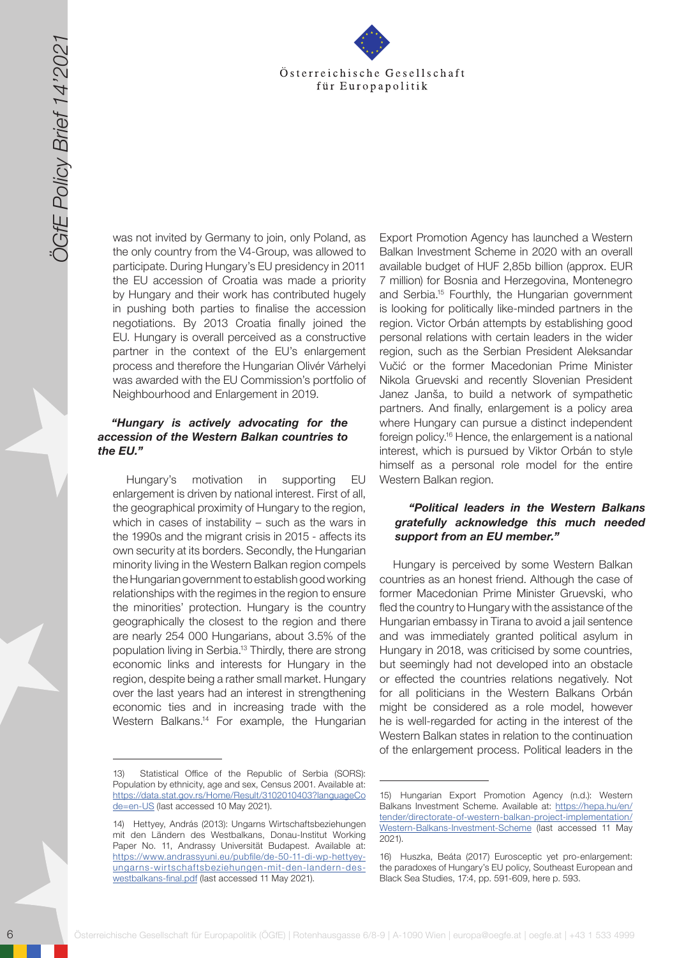

was not invited by Germany to join, only Poland, as the only country from the V4-Group, was allowed to participate. During Hungary's EU presidency in 2011 the EU accession of Croatia was made a priority by Hungary and their work has contributed hugely in pushing both parties to finalise the accession negotiations. By 2013 Croatia finally joined the EU. Hungary is overall perceived as a constructive partner in the context of the EU's enlargement process and therefore the Hungarian Olivér Várhelyi was awarded with the EU Commission's portfolio of Neighbourhood and Enlargement in 2019.

### *"Hungary is actively advocating for the accession of the Western Balkan countries to the EU."*

Hungary's motivation in supporting EU enlargement is driven by national interest. First of all, the geographical proximity of Hungary to the region, which in cases of instability – such as the wars in the 1990s and the migrant crisis in 2015 - affects its own security at its borders. Secondly, the Hungarian minority living in the Western Balkan region compels the Hungarian government to establish good working relationships with the regimes in the region to ensure the minorities' protection. Hungary is the country geographically the closest to the region and there are nearly 254 000 Hungarians, about 3.5% of the population living in Serbia.<sup>13</sup> Thirdly, there are strong economic links and interests for Hungary in the region, despite being a rather small market. Hungary over the last years had an interest in strengthening economic ties and in increasing trade with the Western Balkans.<sup>14</sup> For example, the Hungarian

6 Solution of the Wiene Cesellschaft for the Cesellschaft for the Cesellschaft for the Cesellschaft for the Cesellschaft for the Cesellschaft for the Cesellschaft of the Cesell scheme of the Cesell scheme of the Cesell sc Export Promotion Agency has launched a Western Balkan Investment Scheme in 2020 with an overall available budget of HUF 2,85b billion (approx. EUR 7 million) for Bosnia and Herzegovina, Montenegro and Serbia.15 Fourthly, the Hungarian government is looking for politically like-minded partners in the region. Victor Orbán attempts by establishing good personal relations with certain leaders in the wider region, such as the Serbian President Aleksandar Vučić or the former Macedonian Prime Minister Nikola Gruevski and recently Slovenian President Janez Janša, to build a network of sympathetic partners. And finally, enlargement is a policy area where Hungary can pursue a distinct independent foreign policy.16 Hence, the enlargement is a national interest, which is pursued by Viktor Orbán to style himself as a personal role model for the entire Western Balkan region.

## *"Political leaders in the Western Balkans gratefully acknowledge this much needed support from an EU member."*

Hungary is perceived by some Western Balkan countries as an honest friend. Although the case of former Macedonian Prime Minister Gruevski, who fled the country to Hungary with the assistance of the Hungarian embassy in Tirana to avoid a jail sentence and was immediately granted political asylum in Hungary in 2018, was criticised by some countries, but seemingly had not developed into an obstacle or effected the countries relations negatively. Not for all politicians in the Western Balkans Orbán might be considered as a role model, however he is well-regarded for acting in the interest of the Western Balkan states in relation to the continuation of the enlargement process. Political leaders in the

<sup>13)</sup> Statistical Office of the Republic of Serbia (SORS): Population by ethnicity, age and sex, Census 2001. Available at: [https://data.stat.gov.rs/Home/Result/3102010403?languageCo](https://data.stat.gov.rs/Home/Result/3102010403?languageCode=en-US) [de=en-US](https://data.stat.gov.rs/Home/Result/3102010403?languageCode=en-US) (last accessed 10 May 2021).

<sup>14)</sup> Hettyey, András (2013): Ungarns Wirtschaftsbeziehungen mit den Ländern des Westbalkans, Donau-Institut Working Paper No. 11, Andrassy Universität Budapest. Available at: [https://www.andrassyuni.eu/pubfile/de-50-11-di-wp-hettyey](https://www.andrassyuni.eu/pubfile/de-50-11-di-wp-hettyey-ungarns-wirtschaftsbeziehungen-mit-den-landern-des-westbalkans-final.pdf)[ungarns-wirtschaftsbeziehungen-mit-den-landern-des](https://www.andrassyuni.eu/pubfile/de-50-11-di-wp-hettyey-ungarns-wirtschaftsbeziehungen-mit-den-landern-des-westbalkans-final.pdf)[westbalkans-final.pdf](https://www.andrassyuni.eu/pubfile/de-50-11-di-wp-hettyey-ungarns-wirtschaftsbeziehungen-mit-den-landern-des-westbalkans-final.pdf) (last accessed 11 May 2021).

<sup>15)</sup> Hungarian Export Promotion Agency (n.d.): Western Balkans Investment Scheme. Available at: [https://hepa.hu/en/](https://hepa.hu/en/tender/directorate-of-western-balkan-project-implementation/Western-Balkans-Investment-Scheme) [tender/directorate-of-western-balkan-project-implementation/](https://hepa.hu/en/tender/directorate-of-western-balkan-project-implementation/Western-Balkans-Investment-Scheme) [Western-Balkans-Investment-Scheme](https://hepa.hu/en/tender/directorate-of-western-balkan-project-implementation/Western-Balkans-Investment-Scheme) (last accessed 11 May 2021).

<sup>16)</sup> Huszka, Beáta (2017) Eurosceptic yet pro-enlargement: the paradoxes of Hungary's EU policy, Southeast European and Black Sea Studies, 17:4, pp. 591-609, here p. 593.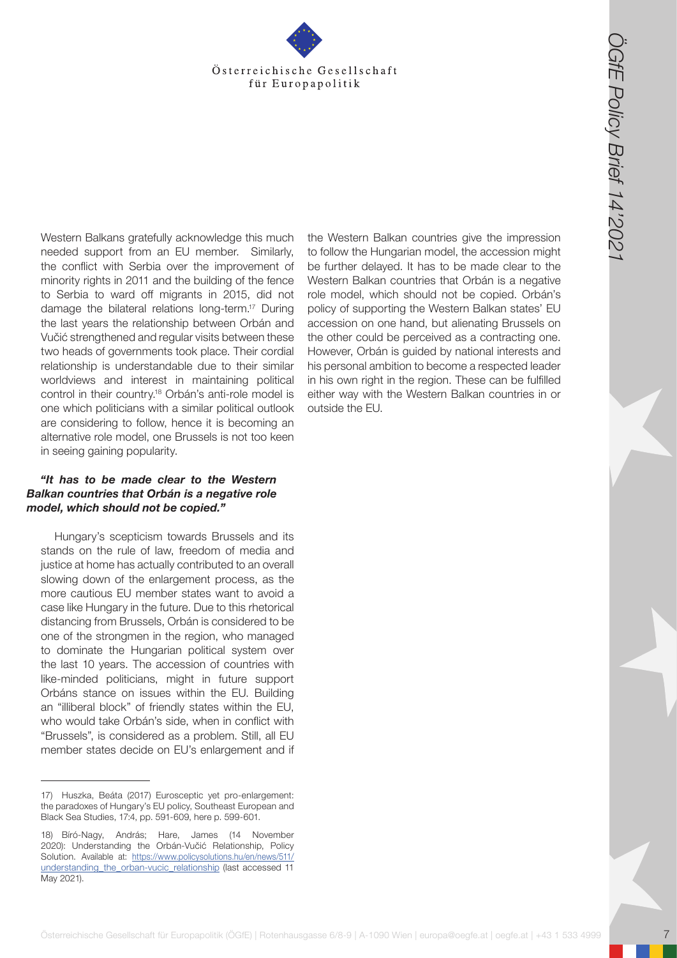

**Österreichische Gesellschaft für Europapolitik (ÖGfe) | Rotenhausgasse 6/8-9 | A-1090 Wien | Rotenhausgasse 6/8-9 | A-1090 Wien | A-1090 Wien | A-1090 Wien | europapolitik (ÖGfe) | Rotenhausgasse 6/8-9 | A-1090 Wien | A-1** Western Balkans gratefully acknowledge this much needed support from an EU member. Similarly, the conflict with Serbia over the improvement of minority rights in 2011 and the building of the fence to Serbia to ward off migrants in 2015, did not damage the bilateral relations long-term.17 During the last years the relationship between Orbán and Vučić strengthened and regular visits between these two heads of governments took place. Their cordial relationship is understandable due to their similar worldviews and interest in maintaining political control in their country.18 Orbán's anti-role model is one which politicians with a similar political outlook are considering to follow, hence it is becoming an alternative role model, one Brussels is not too keen in seeing gaining popularity.

#### *"It has to be made clear to the Western Balkan countries that Orbán is a negative role model, which should not be copied."*

Hungary's scepticism towards Brussels and its stands on the rule of law, freedom of media and justice at home has actually contributed to an overall slowing down of the enlargement process, as the more cautious EU member states want to avoid a case like Hungary in the future. Due to this rhetorical distancing from Brussels, Orbán is considered to be one of the strongmen in the region, who managed to dominate the Hungarian political system over the last 10 years. The accession of countries with like-minded politicians, might in future support Orbáns stance on issues within the EU. Building an "illiberal block" of friendly states within the EU, who would take Orbán's side, when in conflict with "Brussels", is considered as a problem. Still, all EU member states decide on EU's enlargement and if

the Western Balkan countries give the impression to follow the Hungarian model, the accession might be further delayed. It has to be made clear to the Western Balkan countries that Orbán is a negative role model, which should not be copied. Orbán's policy of supporting the Western Balkan states' EU accession on one hand, but alienating Brussels on the other could be perceived as a contracting one. However, Orbán is guided by national interests and his personal ambition to become a respected leader in his own right in the region. These can be fulfilled either way with the Western Balkan countries in or outside the EU.

<sup>17)</sup> Huszka, Beáta (2017) Eurosceptic yet pro-enlargement: the paradoxes of Hungary's EU policy, Southeast European and Black Sea Studies, 17:4, pp. 591-609, here p. 599-601.

<sup>18)</sup> Bíró-Nagy, András; Hare, James (14 November 2020): Understanding the Orbán-Vučić Relationship, Policy Solution. Available at: [https://www.policysolutions.hu/en/news/511/](https://www.policysolutions.hu/en/news/511/understanding_the_orban-vucic_relationship) [understanding\\_the\\_orban-vucic\\_relationship](https://www.policysolutions.hu/en/news/511/understanding_the_orban-vucic_relationship) (last accessed 11 May 2021).